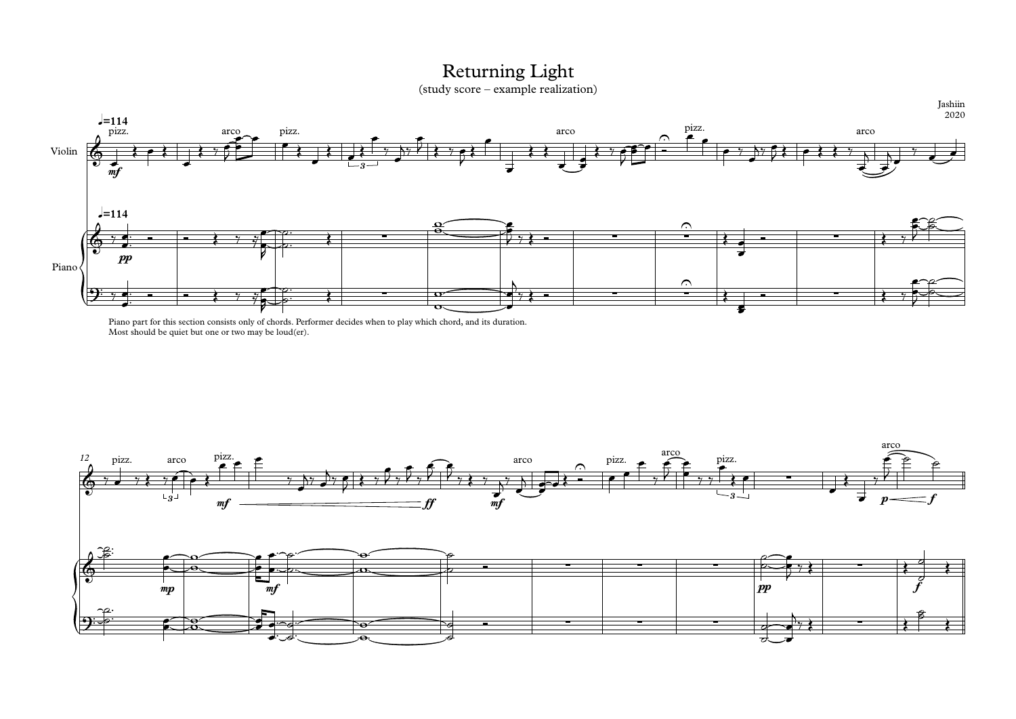

## Returning Light

Jashiin 2020

(study score – example realization)



Piano part for this section consists only of chords. Performer decides when to play which chord, and its duration. Most should be quiet but one or two may be loud(er).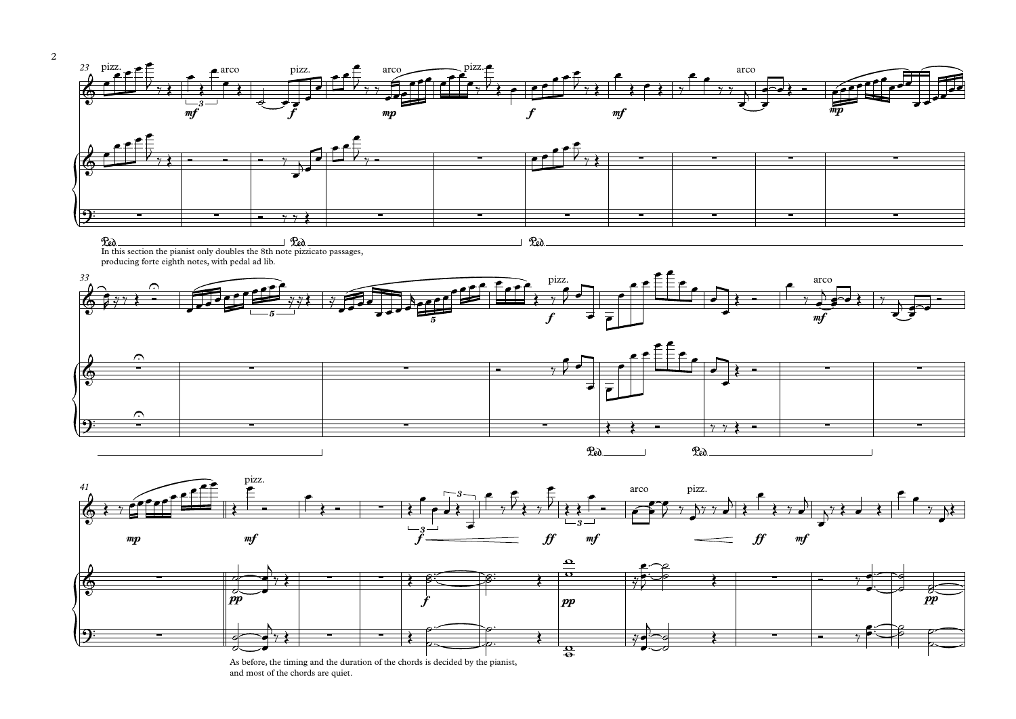









In this section the pianist only doubles the 8th note pizzicato passages, producing forte eighth notes, with pedal ad lib.



As before, the timing and the duration of the chords is decided by the pianist, and most of the chords are quiet.

mp and  $\begin{array}{l} \textit{mfp} \qquad \qquad \textit{mfp} \qquad \qquad \textit{mfp} \qquad \qquad \textit{mfp} \qquad \qquad \textit{mfp} \qquad \qquad \textit{mfp} \qquad \qquad \textit{mfp} \qquad \qquad \textit{mfp} \qquad \qquad \textit{mfp} \qquad \qquad \textit{mfp} \qquad \qquad \textit{mfp} \qquad \qquad \textit{mfp} \qquad \qquad \textit{mfp} \qquad \qquad \textit{mfp} \qquad \qquad \textit{mfp} \qquad \qquad \textit{mfp} \qquad \$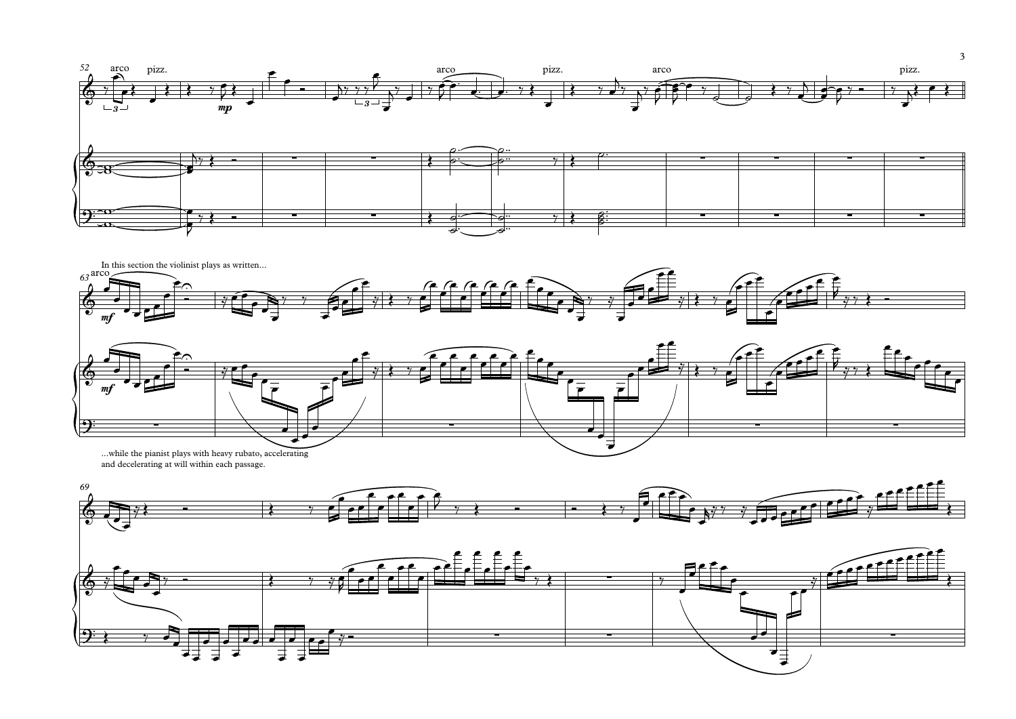









and decelerating at will within each passage.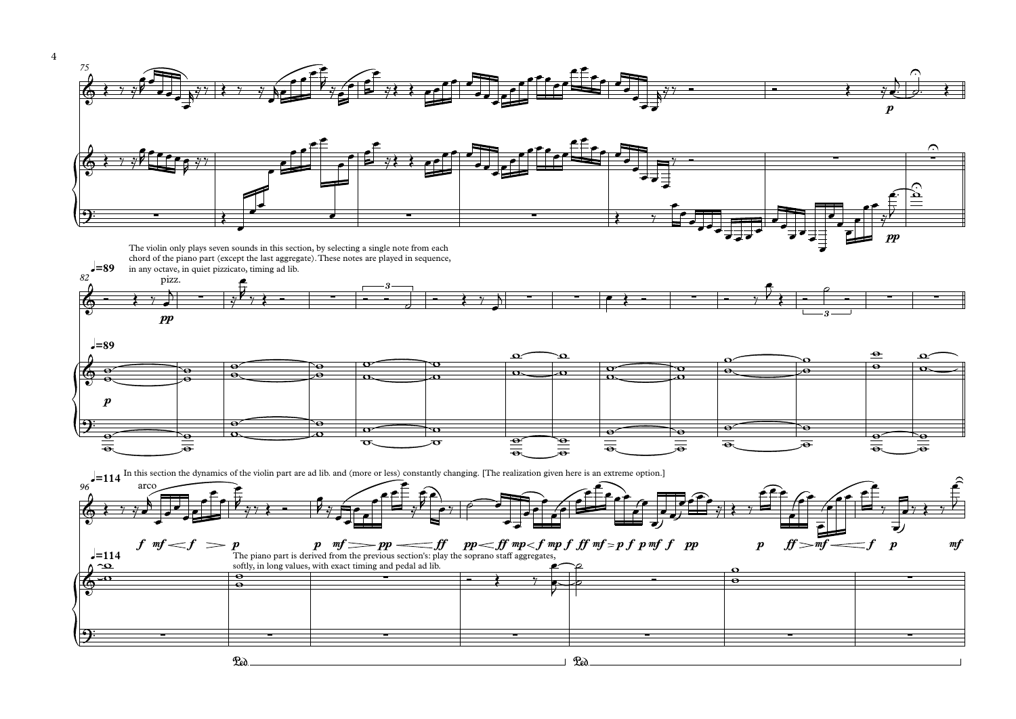

4